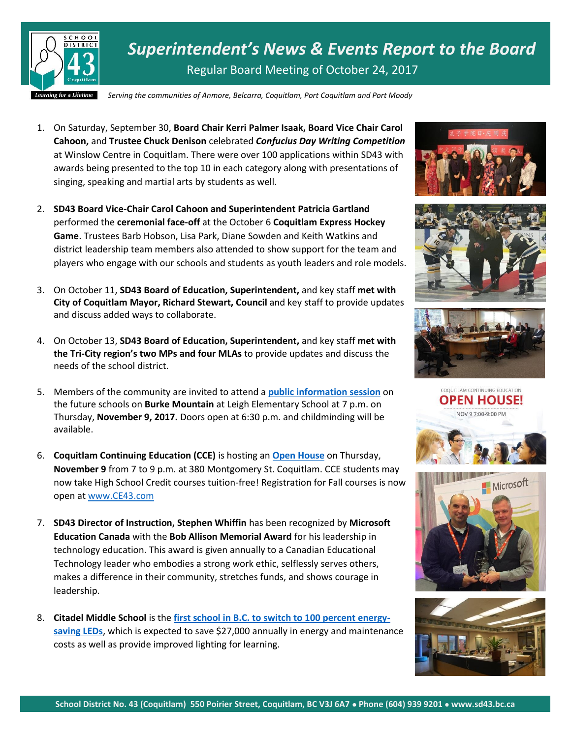

*Superintendent's News & Events Report to the Board* Regular Board Meeting of October 24, 2017

*Serving the communities of Anmore, Belcarra, Coquitlam, Port Coquitlam and Port Moody*

- 1. On Saturday, September 30, **Board Chair Kerri Palmer Isaak, Board Vice Chair Carol Cahoon,** and **Trustee Chuck Denison** celebrated *Confucius Day Writing Competition* at Winslow Centre in Coquitlam. There were over 100 applications within SD43 with awards being presented to the top 10 in each category along with presentations of singing, speaking and martial arts by students as well.
- 2. **SD43 Board Vice-Chair Carol Cahoon and Superintendent Patricia Gartland** performed the **ceremonial face-off** at the October 6 **Coquitlam Express Hockey Game**. Trustees Barb Hobson, Lisa Park, Diane Sowden and Keith Watkins and district leadership team members also attended to show support for the team and players who engage with our schools and students as youth leaders and role models.
- 3. On October 11, **SD43 Board of Education, Superintendent,** and key staff **met with City of Coquitlam Mayor, Richard Stewart, Council** and key staff to provide updates and discuss added ways to collaborate.
- 4. On October 13, **SD43 Board of Education, Superintendent,** and key staff **met with the Tri-City region's two MPs and four MLAs** to provide updates and discuss the needs of the school district.
- 5. Members of the community are invited to attend a **[public information session](https://www.sd43.bc.ca/Pages/newsitem.aspx?ItemID=404&ListID=ed550773-e9ff-4e20-9964-4e1b213f518c&TemplateID=Announcement_Item)** on the future schools on **Burke Mountain** at Leigh Elementary School at 7 p.m. on Thursday, **November 9, 2017.** Doors open at 6:30 p.m. and childminding will be available.
- 6. **Coquitlam Continuing Education (CCE)** is hosting an **[Open House](https://www.sd43.bc.ca/ce/Pages/Landing.aspx#MSOZoneCell_WebPartWPQ9)** on Thursday, **November 9** from 7 to 9 p.m. at 380 Montgomery St. Coquitlam. CCE students may now take High School Credit courses tuition-free! Registration for Fall courses is now open a[t www.CE43.com](http://www.ce43.com/)
- 7. **SD43 Director of Instruction, Stephen Whiffin** has been recognized by **Microsoft Education Canada** with the **Bob Allison Memorial Award** for his leadership in technology education. This award is given annually to a Canadian Educational Technology leader who embodies a strong work ethic, selflessly serves others, makes a difference in their community, stretches funds, and shows courage in leadership.
- 8. **Citadel Middle School** is the **[first school in B.C. to switch to 100 percent energy](https://www.bchydro.com/news/conservation/2017/citadel-middle-school.html)[saving LEDs](https://www.bchydro.com/news/conservation/2017/citadel-middle-school.html)**, which is expected to save \$27,000 annually in energy and maintenance costs as well as provide improved lighting for learning.